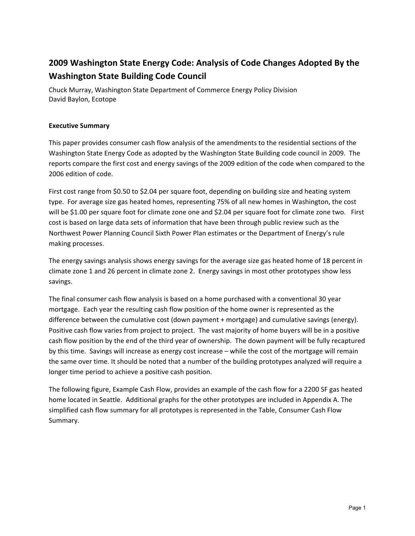# **2009 Washington State Energy Code: Analysis of Code Changes Adopted By the Washington State Building Code Council**

Chuck Murray, Washington State Department of Commerce Energy Policy Division David Baylon, Ecotope

### **Executive Summary**

This paper provides consumer cash flow analysis of the amendments to the residential sections of the Washington State Energy Code as adopted by the Washington State Building code council in 2009. The reports compare the first cost and energy savings of the 2009 edition of the code when compared to the 2006 edition of code.

First cost range from \$0.50 to \$2.04 per square foot, depending on building size and heating system type. For average size gas heated homes, representing 75% of all new homes in Washington, the cost will be \$1.00 per square foot for climate zone one and \$2.04 per square foot for climate zone two. First cost is based on large data sets of information that have been through public review such as the Northwest Power Planning Council Sixth Power Plan estimates or the Department of Energy's rule making processes.

The energy savings analysis shows energy savings for the average size gas heated home of 18 percent in climate zone 1 and 26 percent in climate zone 2. Energy savings in most other prototypes show less savings.

The final consumer cash flow analysis is based on a home purchased with a conventional 30 year mortgage. Each year the resulting cash flow position of the home owner is represented as the difference between the cumulative cost (down payment + mortgage) and cumulative savings (energy). Positive cash flow varies from project to project. The vast majority of home buyers will be in a positive cash flow position by the end of the third year of ownership. The down payment will be fully recaptured by this time. Savings will increase as energy cost increase – while the cost of the mortgage will remain the same over time. It should be noted that a number of the building prototypes analyzed will require a longer time period to achieve a positive cash position.

The following figure, Example Cash Flow, provides an example of the cash flow for a 2200 SF gas heated home located in Seattle. Additional graphs for the other prototypes are included in Appendix A. The simplified cash flow summary for all prototypes is represented in the Table, Consumer Cash Flow Summary.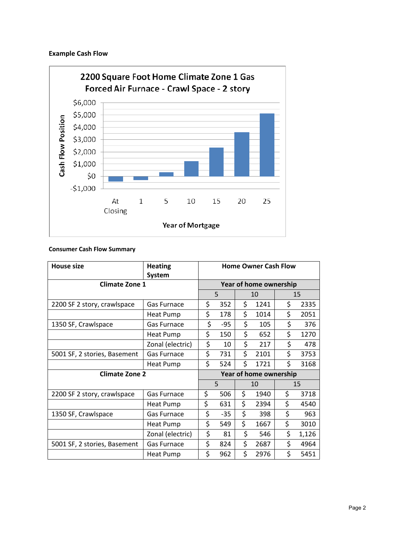# **Example Cash Flow**



### **Consumer Cash Flow Summary**

| <b>House size</b>            | <b>Heating</b><br><b>System</b> | <b>Home Owner Cash Flow</b> |       |    |      |    |       |  |
|------------------------------|---------------------------------|-----------------------------|-------|----|------|----|-------|--|
| <b>Climate Zone 1</b>        |                                 | Year of home ownership      |       |    |      |    |       |  |
|                              |                                 |                             | 5     |    | 10   |    | 15    |  |
| 2200 SF 2 story, crawlspace  | Gas Furnace                     | \$                          | 352   | \$ | 1241 | \$ | 2335  |  |
|                              | Heat Pump                       | \$<br>178                   |       | \$ | 1014 | \$ | 2051  |  |
| 1350 SF, Crawlspace          | <b>Gas Furnace</b>              | \$                          | -95   | \$ | 105  | \$ | 376   |  |
|                              | Heat Pump                       | \$                          | 150   | \$ | 652  | \$ | 1270  |  |
|                              | Zonal (electric)                | \$                          | 10    | \$ | 217  | \$ | 478   |  |
| 5001 SF, 2 stories, Basement | Gas Furnace                     | \$                          | 731   | \$ | 2101 | \$ | 3753  |  |
|                              | Heat Pump                       | \$                          | 524   | \$ | 1721 | \$ | 3168  |  |
| <b>Climate Zone 2</b>        |                                 | Year of home ownership      |       |    |      |    |       |  |
|                              |                                 |                             | 5     |    | 10   |    | 15    |  |
| 2200 SF 2 story, crawlspace  | <b>Gas Furnace</b>              | \$                          | 506   | \$ | 1940 | \$ | 3718  |  |
|                              | Heat Pump                       | \$                          | 631   | \$ | 2394 | \$ | 4540  |  |
| 1350 SF, Crawlspace          | Gas Furnace                     | \$                          | $-35$ | \$ | 398  | \$ | 963   |  |
|                              | Heat Pump                       | \$                          | 549   | \$ | 1667 | \$ | 3010  |  |
|                              | Zonal (electric)                | \$                          | 81    | \$ | 546  | \$ | 1,126 |  |
| 5001 SF, 2 stories, Basement | Gas Furnace                     | \$                          | 824   | \$ | 2687 | \$ | 4964  |  |
|                              | Heat Pump                       | \$                          | 962   | Ś. | 2976 | \$ | 5451  |  |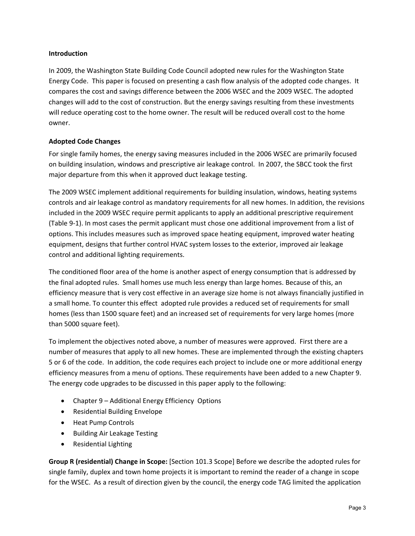### **Introduction**

In 2009, the Washington State Building Code Council adopted new rules for the Washington State Energy Code. This paper is focused on presenting a cash flow analysis of the adopted code changes. It compares the cost and savings difference between the 2006 WSEC and the 2009 WSEC. The adopted changes will add to the cost of construction. But the energy savings resulting from these investments will reduce operating cost to the home owner. The result will be reduced overall cost to the home owner.

### **Adopted Code Changes**

For single family homes, the energy saving measures included in the 2006 WSEC are primarily focused on building insulation, windows and prescriptive air leakage control. In 2007, the SBCC took the first major departure from this when it approved duct leakage testing.

The 2009 WSEC implement additional requirements for building insulation, windows, heating systems controls and air leakage control as mandatory requirements for all new homes. In addition, the revisions included in the 2009 WSEC require permit applicants to apply an additional prescriptive requirement (Table 9‐1). In most cases the permit applicant must chose one additional improvement from a list of options. This includes measures such as improved space heating equipment, improved water heating equipment, designs that further control HVAC system losses to the exterior, improved air leakage control and additional lighting requirements.

The conditioned floor area of the home is another aspect of energy consumption that is addressed by the final adopted rules. Small homes use much less energy than large homes. Because of this, an efficiency measure that is very cost effective in an average size home is not always financially justified in a small home. To counter this effect adopted rule provides a reduced set of requirements for small homes (less than 1500 square feet) and an increased set of requirements for very large homes (more than 5000 square feet).

To implement the objectives noted above, a number of measures were approved. First there are a number of measures that apply to all new homes. These are implemented through the existing chapters 5 or 6 of the code. In addition, the code requires each project to include one or more additional energy efficiency measures from a menu of options. These requirements have been added to a new Chapter 9. The energy code upgrades to be discussed in this paper apply to the following:

- Chapter 9 Additional Energy Efficiency Options
- Residential Building Envelope
- Heat Pump Controls
- Building Air Leakage Testing
- Residential Lighting

**Group R (residential) Change in Scope:** [Section 101.3 Scope] Before we describe the adopted rules for single family, duplex and town home projects it is important to remind the reader of a change in scope for the WSEC. As a result of direction given by the council, the energy code TAG limited the application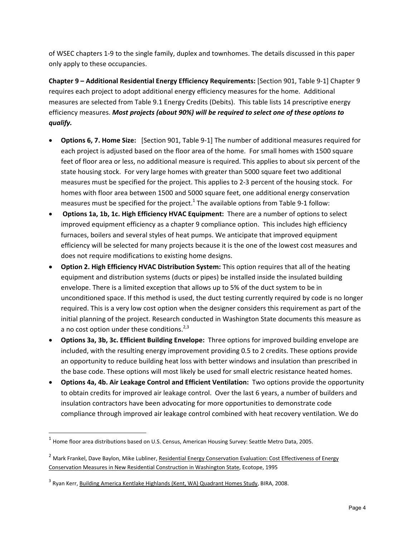of WSEC chapters 1‐9 to the single family, duplex and townhomes. The details discussed in this paper only apply to these occupancies.

**Chapter 9 – Additional Residential Energy Efficiency Requirements:** [Section 901, Table 9‐1] Chapter 9 requires each project to adopt additional energy efficiency measures for the home. Additional measures are selected from Table 9.1 Energy Credits (Debits).This table lists 14 prescriptive energy efficiency measures. *Most projects (about 90%) will be required to select one of these options to qualify.*

- **Options 6, 7. Home Size:** [Section 901, Table 9‐1] The number of additional measures required for each project is adjusted based on the floor area of the home. For small homes with 1500 square feet of floor area or less, no additional measure is required. This applies to about six percent of the state housing stock. For very large homes with greater than 5000 square feet two additional measures must be specified for the project. This applies to 2‐3 percent of the housing stock. For homes with floor area between 1500 and 5000 square feet, one additional energy conservation measures must be specified for the project.<sup>1</sup> The available options from Table 9-1 follow:
- **Options 1a, 1b, 1c. High Efficiency HVAC Equipment:** There are a number of options to select improved equipment efficiency as a chapter 9 compliance option. This includes high efficiency furnaces, boilers and several styles of heat pumps. We anticipate that improved equipment efficiency will be selected for many projects because it is the one of the lowest cost measures and does not require modifications to existing home designs.
- **Option 2. High Efficiency HVAC Distribution System:** This option requires that all of the heating equipment and distribution systems (ducts or pipes) be installed inside the insulated building envelope. There is a limited exception that allows up to 5% of the duct system to be in unconditioned space. If this method is used, the duct testing currently required by code is no longer required. This is a very low cost option when the designer considers this requirement as part of the initial planning of the project. Research conducted in Washington State documents this measure as a no cost option under these conditions. $2,3$
- **Options 3a, 3b, 3c. Efficient Building Envelope:** Three options for improved building envelope are included, with the resulting energy improvement providing 0.5 to 2 credits. These options provide an opportunity to reduce building heat loss with better windows and insulation than prescribed in the base code. These options will most likely be used for small electric resistance heated homes.
- **Options 4a, 4b. Air Leakage Control and Efficient Ventilation:** Two options provide the opportunity to obtain credits for improved air leakage control. Over the last 6 years, a number of builders and insulation contractors have been advocating for more opportunities to demonstrate code compliance through improved air leakage control combined with heat recovery ventilation. We do

<sup>&</sup>lt;sup>1</sup> Home floor area distributions based on U.S. Census, American Housing Survey: Seattle Metro Data, 2005.

<sup>&</sup>lt;sup>2</sup> Mark Frankel, Dave Baylon, Mike Lubliner, Residential Energy Conservation Evaluation: Cost Effectiveness of Energy Conservation Measures in New Residential Construction in Washington State, Ecotope, 1995

 $3$  Ryan Kerr, Building America Kentlake Highlands (Kent, WA) Quadrant Homes Study, BIRA, 2008.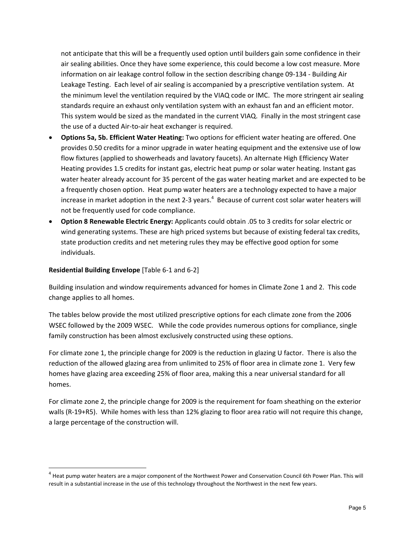not anticipate that this will be a frequently used option until builders gain some confidence in their air sealing abilities. Once they have some experience, this could become a low cost measure. More information on air leakage control follow in the section describing change 09‐134 ‐ Building Air Leakage Testing. Each level of air sealing is accompanied by a prescriptive ventilation system. At the minimum level the ventilation required by the VIAQ code or IMC. The more stringent air sealing standards require an exhaust only ventilation system with an exhaust fan and an efficient motor. This system would be sized as the mandated in the current VIAQ. Finally in the most stringent case the use of a ducted Air‐to‐air heat exchanger is required.

- **Options 5a, 5b. Efficient Water Heating:** Two options for efficient water heating are offered. One provides 0.50 credits for a minor upgrade in water heating equipment and the extensive use of low flow fixtures (applied to showerheads and lavatory faucets). An alternate High Efficiency Water Heating provides 1.5 credits for instant gas, electric heat pump or solar water heating. Instant gas water heater already account for 35 percent of the gas water heating market and are expected to be a frequently chosen option. Heat pump water heaters are a technology expected to have a major increase in market adoption in the next 2-3 years.<sup>4</sup> Because of current cost solar water heaters will not be frequently used for code compliance.
- **Option 8 Renewable Electric Energy:** Applicants could obtain .05 to 3 credits for solar electric or wind generating systems. These are high priced systems but because of existing federal tax credits, state production credits and net metering rules they may be effective good option for some individuals.

### **Residential Building Envelope** [Table 6‐1 and 6‐2]

Building insulation and window requirements advanced for homes in Climate Zone 1 and 2. This code change applies to all homes.

The tables below provide the most utilized prescriptive options for each climate zone from the 2006 WSEC followed by the 2009 WSEC. While the code provides numerous options for compliance, single family construction has been almost exclusively constructed using these options.

For climate zone 1, the principle change for 2009 is the reduction in glazing U factor. There is also the reduction of the allowed glazing area from unlimited to 25% of floor area in climate zone 1. Very few homes have glazing area exceeding 25% of floor area, making this a near universal standard for all homes.

For climate zone 2, the principle change for 2009 is the requirement for foam sheathing on the exterior walls (R-19+R5). While homes with less than 12% glazing to floor area ratio will not require this change, a large percentage of the construction will.

 $4$  Heat pump water heaters are a major component of the Northwest Power and Conservation Council 6th Power Plan. This will result in a substantial increase in the use of this technology throughout the Northwest in the next few years.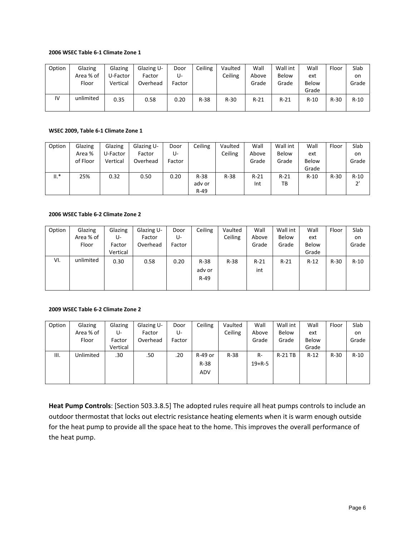#### **2006 WSEC Table 6‐1 Climate Zone 1**

| Option | Glazing   | Glazing  | Glazing U- | Door   | Ceiling | Vaulted | Wall   | Wall int | Wall   | Floor  | Slab   |
|--------|-----------|----------|------------|--------|---------|---------|--------|----------|--------|--------|--------|
|        | Area % of | U-Factor | Factor     | U-     |         | Ceiling | Above  | Below    | ext    |        | on     |
|        | Floor     | Vertical | Overhead   | Factor |         |         | Grade  | Grade    | Below  |        | Grade  |
|        |           |          |            |        |         |         |        |          | Grade  |        |        |
| IV     | unlimited | 0.35     | 0.58       | 0.20   | $R-38$  | $R-30$  | $R-21$ | $R-21$   | $R-10$ | $R-30$ | $R-10$ |
|        |           |          |            |        |         |         |        |          |        |        |        |

#### **WSEC 2009, Table 6‐1 Climate Zone 1**

| Option | Glazing  | Glazing  | Glazing U- | Door   | Ceiling | Vaulted | Wall   | Wall int | Wall   | Floor  | Slab         |
|--------|----------|----------|------------|--------|---------|---------|--------|----------|--------|--------|--------------|
|        | Area %   | U-Factor | Factor     | U-     |         | Ceiling | Above  | Below    | ext    |        | on           |
|        | of Floor | Vertical | Overhead   | Factor |         |         | Grade  | Grade    | Below  |        | Grade        |
|        |          |          |            |        |         |         |        |          | Grade  |        |              |
| $II.*$ | 25%      | 0.32     | 0.50       | 0.20   | $R-38$  | $R-38$  | $R-21$ | $R-21$   | $R-10$ | $R-30$ | $R-10$       |
|        |          |          |            |        | ady or  |         | Int    | ТB       |        |        | $2^{\prime}$ |
|        |          |          |            |        | $R-49$  |         |        |          |        |        |              |

#### **2006 WSEC Table 6‐2 Climate Zone 2**

| Option | Glazing   | Glazing  | Glazing U- | Door   | Ceiling | Vaulted | Wall   | Wall int | Wall   | Floor  | Slab   |
|--------|-----------|----------|------------|--------|---------|---------|--------|----------|--------|--------|--------|
|        | Area % of | U-       | Factor     | U-     |         | Ceiling | Above  | Below    | ext    |        | on     |
|        | Floor     | Factor   | Overhead   | Factor |         |         | Grade  | Grade    | Below  |        | Grade  |
|        |           | Vertical |            |        |         |         |        |          | Grade  |        |        |
| VI.    | unlimited | 0.30     | 0.58       | 0.20   | R-38    | $R-38$  | $R-21$ | $R-21$   | $R-12$ | $R-30$ | $R-10$ |
|        |           |          |            |        | ady or  |         | int    |          |        |        |        |
|        |           |          |            |        | $R-49$  |         |        |          |        |        |        |
|        |           |          |            |        |         |         |        |          |        |        |        |

### **2009 WSEC Table 6‐2 Climate Zone 2**

| Option | Glazing   | Glazing  | Glazing U- | Door   | Ceiling    | Vaulted | Wall         | Wall int | Wall   | Floor  | Slab   |
|--------|-----------|----------|------------|--------|------------|---------|--------------|----------|--------|--------|--------|
|        | Area % of | U-       | Factor     | U-     |            | Ceiling | Above        | Below    | ext    |        | on     |
|        | Floor     | Factor   | Overhead   | Factor |            |         | Grade        | Grade    | Below  |        | Grade  |
|        |           | Vertical |            |        |            |         |              |          | Grade  |        |        |
| Ш.     | Unlimited | .30      | .50        | .20    | R-49 or    | $R-38$  | $R-$         | R-21 TB  | $R-12$ | $R-30$ | $R-10$ |
|        |           |          |            |        | $R-38$     |         | $19 + R - 5$ |          |        |        |        |
|        |           |          |            |        | <b>ADV</b> |         |              |          |        |        |        |
|        |           |          |            |        |            |         |              |          |        |        |        |

**Heat Pump Controls**: [Section 503.3.8.5] The adopted rules require all heat pumps controls to include an outdoor thermostat that locks out electric resistance heating elements when it is warm enough outside for the heat pump to provide all the space heat to the home. This improves the overall performance of the heat pump.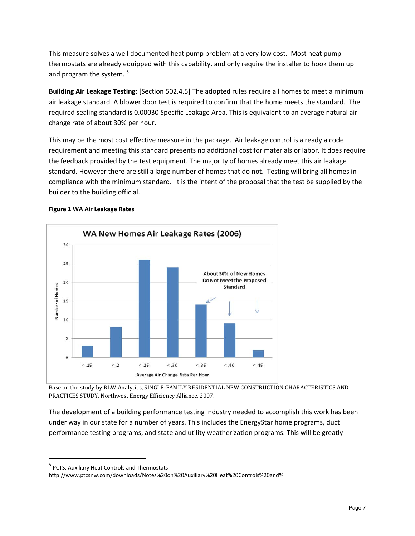This measure solves a well documented heat pump problem at a very low cost. Most heat pump thermostats are already equipped with this capability, and only require the installer to hook them up and program the system. <sup>5</sup>

**Building Air Leakage Testing**: [Section 502.4.5] The adopted rules require all homes to meet a minimum air leakage standard. A blower door test is required to confirm that the home meets the standard. The required sealing standard is 0.00030 Specific Leakage Area. This is equivalent to an average natural air change rate of about 30% per hour.

This may be the most cost effective measure in the package. Air leakage control is already a code requirement and meeting this standard presents no additional cost for materials or labor. It does require the feedback provided by the test equipment. The majority of homes already meet this air leakage standard. However there are still a large number of homes that do not. Testing will bring all homes in compliance with the minimum standard. It is the intent of the proposal that the test be supplied by the builder to the building official.

### **Figure 1 WA Air Leakage Rates**



Base on the study by RLW Analytics, SINGLE‐FAMILY RESIDENTIAL NEW CONSTRUCTION CHARACTERISTICS AND PRACTICES STUDY, Northwest Energy Efficiency Alliance, 2007.

The development of a building performance testing industry needed to accomplish this work has been under way in our state for a number of years. This includes the EnergyStar home programs, duct performance testing programs, and state and utility weatherization programs. This will be greatly

<sup>5</sup> PCTS, Auxiliary Heat Controls and Thermostats

http://www.ptcsnw.com/downloads/Notes%20on%20Auxiliary%20Heat%20Controls%20and%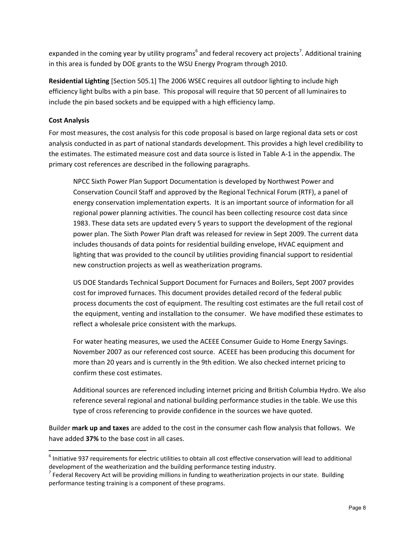expanded in the coming year by utility programs<sup>6</sup> and federal recovery act projects<sup>7</sup>. Additional training in this area is funded by DOE grants to the WSU Energy Program through 2010.

**Residential Lighting** [Section 505.1] The 2006 WSEC requires all outdoor lighting to include high efficiency light bulbs with a pin base. This proposal will require that 50 percent of all luminaires to include the pin based sockets and be equipped with a high efficiency lamp.

# **Cost Analysis**

For most measures, the cost analysis for this code proposal is based on large regional data sets or cost analysis conducted in as part of national standards development. This provides a high level credibility to the estimates. The estimated measure cost and data source is listed in Table A‐1 in the appendix. The primary cost references are described in the following paragraphs.

NPCC Sixth Power Plan Support Documentation is developed by Northwest Power and Conservation Council Staff and approved by the Regional Technical Forum (RTF), a panel of energy conservation implementation experts. It is an important source of information for all regional power planning activities. The council has been collecting resource cost data since 1983. These data sets are updated every 5 years to support the development of the regional power plan. The Sixth Power Plan draft was released for review in Sept 2009. The current data includes thousands of data points for residential building envelope, HVAC equipment and lighting that was provided to the council by utilities providing financial support to residential new construction projects as well as weatherization programs.

US DOE Standards Technical Support Document for Furnaces and Boilers, Sept 2007 provides cost for improved furnaces. This document provides detailed record of the federal public process documents the cost of equipment. The resulting cost estimates are the full retail cost of the equipment, venting and installation to the consumer. We have modified these estimates to reflect a wholesale price consistent with the markups.

For water heating measures, we used the ACEEE Consumer Guide to Home Energy Savings. November 2007 as our referenced cost source. ACEEE has been producing this document for more than 20 years and is currently in the 9th edition. We also checked internet pricing to confirm these cost estimates.

Additional sources are referenced including internet pricing and British Columbia Hydro. We also reference several regional and national building performance studies in the table. We use this type of cross referencing to provide confidence in the sources we have quoted.

Builder **mark up and taxes** are added to the cost in the consumer cash flow analysis that follows. We have added **37%** to the base cost in all cases.

 $<sup>6</sup>$  Initiative 937 requirements for electric utilities to obtain all cost effective conservation will lead to additional</sup> development of the weatherization and the building performance testing industry.<br><sup>7</sup> Federal Recovery Act will be providing millions in funding to weatherization projects in our state. Building

performance testing training is a component of these programs.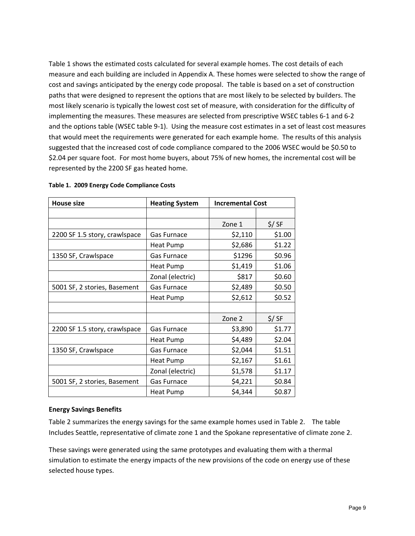Table 1 shows the estimated costs calculated for several example homes. The cost details of each measure and each building are included in Appendix A. These homes were selected to show the range of cost and savings anticipated by the energy code proposal. The table is based on a set of construction paths that were designed to represent the options that are most likely to be selected by builders. The most likely scenario is typically the lowest cost set of measure, with consideration for the difficulty of implementing the measures. These measures are selected from prescriptive WSEC tables 6‐1 and 6‐2 and the options table (WSEC table 9-1). Using the measure cost estimates in a set of least cost measures that would meet the requirements were generated for each example home. The results of this analysis suggested that the increased cost of code compliance compared to the 2006 WSEC would be \$0.50 to \$2.04 per square foot. For most home buyers, about 75% of new homes, the incremental cost will be represented by the 2200 SF gas heated home.

| <b>House size</b>             | <b>Heating System</b> | <b>Incremental Cost</b> |        |
|-------------------------------|-----------------------|-------------------------|--------|
|                               |                       |                         |        |
|                               |                       | Zone 1                  | \$/ SF |
| 2200 SF 1.5 story, crawlspace | Gas Furnace           | \$2,110                 | \$1.00 |
|                               | <b>Heat Pump</b>      | \$2,686                 | \$1.22 |
| 1350 SF, Crawlspace           | <b>Gas Furnace</b>    | \$1296                  | \$0.96 |
|                               | <b>Heat Pump</b>      | \$1,419                 | \$1.06 |
|                               | Zonal (electric)      | \$817                   | \$0.60 |
| 5001 SF, 2 stories, Basement  | Gas Furnace           | \$2,489                 | \$0.50 |
|                               | <b>Heat Pump</b>      | \$2,612                 | \$0.52 |
|                               |                       |                         |        |
|                               |                       | Zone 2                  | \$/ SF |
| 2200 SF 1.5 story, crawlspace | Gas Furnace           | \$3,890                 | \$1.77 |
|                               | Heat Pump             | \$4,489                 | \$2.04 |
| 1350 SF, Crawlspace           | Gas Furnace           | \$2,044                 | \$1.51 |
|                               | <b>Heat Pump</b>      | \$2,167                 | \$1.61 |
|                               | Zonal (electric)      | \$1,578                 | \$1.17 |
| 5001 SF, 2 stories, Basement  | Gas Furnace           | \$4,221                 | \$0.84 |
|                               | <b>Heat Pump</b>      | \$4,344                 | \$0.87 |

#### **Table 1. 2009 Energy Code Compliance Costs**

### **Energy Savings Benefits**

Table 2 summarizes the energy savings for the same example homes used in Table 2. The table Includes Seattle, representative of climate zone 1 and the Spokane representative of climate zone 2.

These savings were generated using the same prototypes and evaluating them with a thermal simulation to estimate the energy impacts of the new provisions of the code on energy use of these selected house types.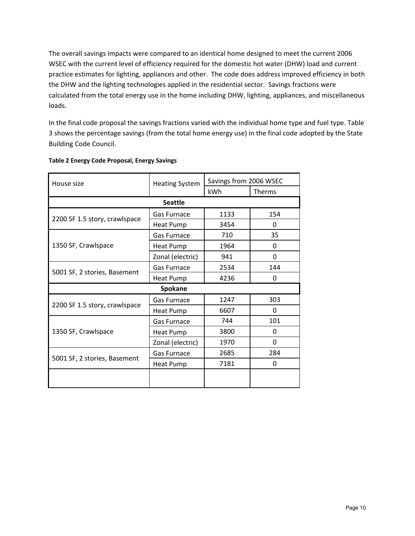The overall savings impacts were compared to an identical home designed to meet the current 2006 WSEC with the current level of efficiency required for the domestic hot water (DHW) load and current practice estimates for lighting, appliances and other. The code does address improved efficiency in both the DHW and the lighting technologies applied in the residential sector. Savings fractions were calculated from the total energy use in the home including DHW, lighting, appliances, and miscellaneous loads.

In the final code proposal the savings fractions varied with the individual home type and fuel type. Table 3 shows the percentage savings (from the total home energy use) in the final code adopted by the State Building Code Council.

| House size                    | <b>Heating System</b> | Savings from 2006 WSEC |              |
|-------------------------------|-----------------------|------------------------|--------------|
|                               |                       | kWh                    | Therms       |
|                               | <b>Seattle</b>        |                        |              |
|                               | <b>Gas Furnace</b>    | 1133                   | 154          |
| 2200 SF 1.5 story, crawlspace | Heat Pump             | 3454                   | 0            |
|                               | <b>Gas Furnace</b>    | 710                    | 35           |
| 1350 SF, Crawlspace           | Heat Pump             | 1964                   | $\Omega$     |
|                               | Zonal (electric)      | 941                    | $\Omega$     |
| 5001 SF, 2 stories, Basement  | <b>Gas Furnace</b>    | 2534                   | 144          |
|                               | <b>Heat Pump</b>      | 4236                   | $\Omega$     |
|                               | Spokane               |                        |              |
| 2200 SF 1.5 story, crawlspace | Gas Furnace           | 1247                   | 303          |
|                               | Heat Pump             | 6607                   | $\Omega$     |
|                               | Gas Furnace           | 744                    | 101          |
| 1350 SF, Crawlspace           | <b>Heat Pump</b>      | 3800                   | <sup>0</sup> |
|                               | Zonal (electric)      | 1970                   | $\Omega$     |
| 5001 SF, 2 stories, Basement  | Gas Furnace           | 2685                   | 284          |
|                               | Heat Pump             | 7181                   | $\Omega$     |
|                               |                       |                        |              |

### **Table 2 Energy Code Proposal, Energy Savings**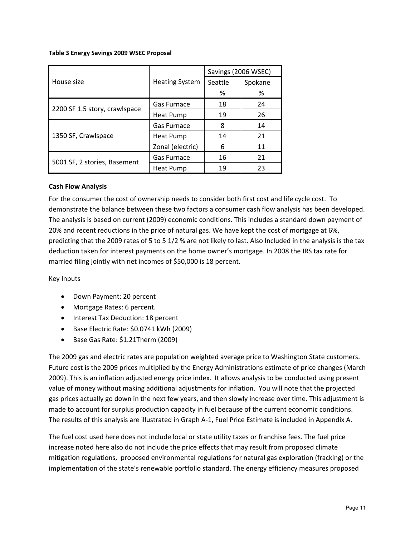### **Table 3 Energy Savings 2009 WSEC Proposal**

|                               |                       | Savings (2006 WSEC) |         |  |  |
|-------------------------------|-----------------------|---------------------|---------|--|--|
| House size                    | <b>Heating System</b> | Seattle             | Spokane |  |  |
|                               |                       | %                   | %       |  |  |
|                               | Gas Furnace           | 18                  | 24      |  |  |
| 2200 SF 1.5 story, crawlspace | <b>Heat Pump</b>      | 19                  | 26      |  |  |
|                               | Gas Furnace           | 8                   | 14      |  |  |
| 1350 SF, Crawlspace           | Heat Pump             | 14                  | 21      |  |  |
|                               | Zonal (electric)      | 6                   | 11      |  |  |
| 5001 SF, 2 stories, Basement  | <b>Gas Furnace</b>    | 16                  | 21      |  |  |
|                               | Heat Pump             | 19                  | 23      |  |  |

### **Cash Flow Analysis**

For the consumer the cost of ownership needs to consider both first cost and life cycle cost. To demonstrate the balance between these two factors a consumer cash flow analysis has been developed. The analysis is based on current (2009) economic conditions. This includes a standard down payment of 20% and recent reductions in the price of natural gas. We have kept the cost of mortgage at 6%, predicting that the 2009 rates of 5 to 5 1/2 % are not likely to last. Also Included in the analysis is the tax deduction taken for interest payments on the home owner's mortgage. In 2008 the IRS tax rate for married filing jointly with net incomes of \$50,000 is 18 percent.

Key Inputs

- Down Payment: 20 percent
- Mortgage Rates: 6 percent.
- Interest Tax Deduction: 18 percent
- Base Electric Rate: \$0.0741 kWh (2009)
- Base Gas Rate: \$1.21Therm (2009)

The 2009 gas and electric rates are population weighted average price to Washington State customers. Future cost is the 2009 prices multiplied by the Energy Administrations estimate of price changes (March 2009). This is an inflation adjusted energy price index. It allows analysis to be conducted using present value of money without making additional adjustments for inflation. You will note that the projected gas prices actually go down in the next few years, and then slowly increase over time. This adjustment is made to account for surplus production capacity in fuel because of the current economic conditions. The results of this analysis are illustrated in Graph A‐1, Fuel Price Estimate is included in Appendix A.

The fuel cost used here does not include local or state utility taxes or franchise fees. The fuel price increase noted here also do not include the price effects that may result from proposed climate mitigation regulations, proposed environmental regulations for natural gas exploration (fracking) or the implementation of the state's renewable portfolio standard. The energy efficiency measures proposed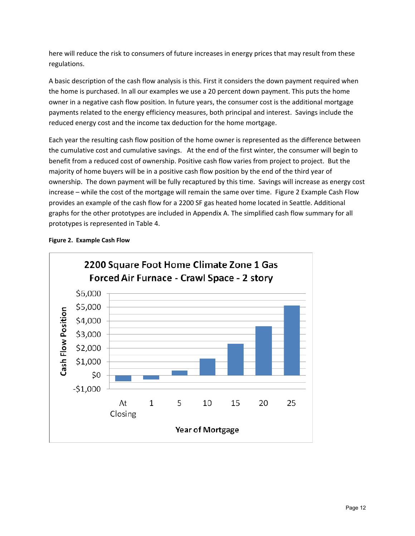here will reduce the risk to consumers of future increases in energy prices that may result from these regulations.

A basic description of the cash flow analysis is this. First it considers the down payment required when the home is purchased. In all our examples we use a 20 percent down payment. This puts the home owner in a negative cash flow position. In future years, the consumer cost is the additional mortgage payments related to the energy efficiency measures, both principal and interest. Savings include the reduced energy cost and the income tax deduction for the home mortgage.

Each year the resulting cash flow position of the home owner is represented as the difference between the cumulative cost and cumulative savings. At the end of the first winter, the consumer will begin to benefit from a reduced cost of ownership. Positive cash flow varies from project to project. But the majority of home buyers will be in a positive cash flow position by the end of the third year of ownership. The down payment will be fully recaptured by this time. Savings will increase as energy cost increase – while the cost of the mortgage will remain the same over time. Figure 2 Example Cash Flow provides an example of the cash flow for a 2200 SF gas heated home located in Seattle. Additional graphs for the other prototypes are included in Appendix A. The simplified cash flow summary for all prototypes is represented in Table 4.



**Figure 2. Example Cash Flow**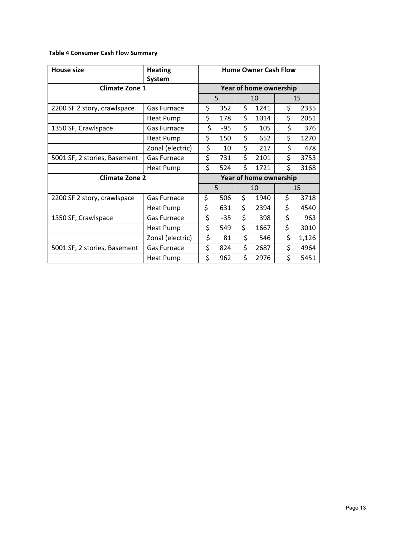# **Table 4 Consumer Cash Flow Summary**

| <b>House size</b>            | <b>Heating</b><br><b>System</b> |                        |       |    | <b>Home Owner Cash Flow</b> |    |       |  |
|------------------------------|---------------------------------|------------------------|-------|----|-----------------------------|----|-------|--|
| <b>Climate Zone 1</b>        |                                 | Year of home ownership |       |    |                             |    |       |  |
|                              |                                 |                        | 5     |    | 10                          |    | 15    |  |
| 2200 SF 2 story, crawlspace  | Gas Furnace                     | \$                     | 352   | \$ | 1241                        | \$ | 2335  |  |
|                              | <b>Heat Pump</b>                | \$<br>178              |       | \$ | 1014                        | \$ | 2051  |  |
| 1350 SF, Crawlspace          | Gas Furnace                     | \$<br>-95              |       | \$ | 105                         | \$ | 376   |  |
|                              | <b>Heat Pump</b>                | \$<br>150              |       | \$ | 652                         | \$ | 1270  |  |
|                              | Zonal (electric)                | \$                     | 10    | \$ | 217                         | \$ | 478   |  |
| 5001 SF, 2 stories, Basement | Gas Furnace                     | \$                     | 731   | \$ | 2101                        | \$ | 3753  |  |
|                              | Heat Pump                       | \$                     | 524   | \$ | 1721                        | \$ | 3168  |  |
| <b>Climate Zone 2</b>        |                                 | Year of home ownership |       |    |                             |    |       |  |
|                              |                                 |                        | 5     |    | 10                          |    | 15    |  |
| 2200 SF 2 story, crawlspace  | Gas Furnace                     | \$                     | 506   | \$ | 1940                        | \$ | 3718  |  |
|                              | Heat Pump                       | \$                     | 631   | \$ | 2394                        | \$ | 4540  |  |
| 1350 SF, Crawlspace          | Gas Furnace                     | \$                     | $-35$ | \$ | 398                         | \$ | 963   |  |
|                              | Heat Pump                       | \$                     | 549   | \$ | 1667                        | \$ | 3010  |  |
|                              | Zonal (electric)                | \$                     | 81    | \$ | 546                         | \$ | 1,126 |  |
| 5001 SF, 2 stories, Basement | <b>Gas Furnace</b>              | \$                     | 824   | \$ | 2687                        | \$ | 4964  |  |
|                              | <b>Heat Pump</b>                | \$                     | 962   | \$ | 2976                        | \$ | 5451  |  |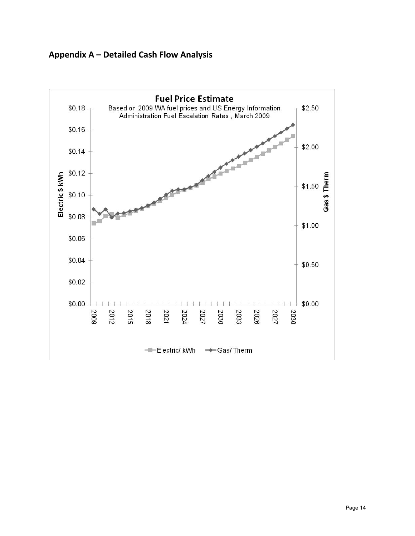

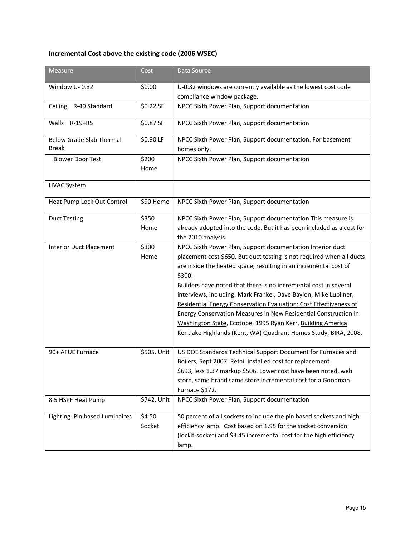# **Incremental Cost above the existing code (2006 WSEC)**

| <b>Measure</b>                  | Cost        | Data Source                                                            |
|---------------------------------|-------------|------------------------------------------------------------------------|
| Window U-0.32                   | \$0.00      | U-0.32 windows are currently available as the lowest cost code         |
|                                 |             | compliance window package.                                             |
| R-49 Standard<br>Ceiling        | \$0.22 SF   | NPCC Sixth Power Plan, Support documentation                           |
| Walls<br>$R-19+R5$              | \$0.87 SF   | NPCC Sixth Power Plan, Support documentation                           |
| <b>Below Grade Slab Thermal</b> | \$0.90 LF   | NPCC Sixth Power Plan, Support documentation. For basement             |
| Break                           |             | homes only.                                                            |
| <b>Blower Door Test</b>         | \$200       | NPCC Sixth Power Plan, Support documentation                           |
|                                 | Home        |                                                                        |
| <b>HVAC System</b>              |             |                                                                        |
| Heat Pump Lock Out Control      | \$90 Home   | NPCC Sixth Power Plan, Support documentation                           |
| <b>Duct Testing</b>             | \$350       | NPCC Sixth Power Plan, Support documentation This measure is           |
|                                 | Home        | already adopted into the code. But it has been included as a cost for  |
|                                 |             | the 2010 analysis.                                                     |
| <b>Interior Duct Placement</b>  | \$300       | NPCC Sixth Power Plan, Support documentation Interior duct             |
|                                 | Home        | placement cost \$650. But duct testing is not required when all ducts  |
|                                 |             | are inside the heated space, resulting in an incremental cost of       |
|                                 |             | \$300.                                                                 |
|                                 |             | Builders have noted that there is no incremental cost in several       |
|                                 |             | interviews, including: Mark Frankel, Dave Baylon, Mike Lubliner,       |
|                                 |             | Residential Energy Conservation Evaluation: Cost Effectiveness of      |
|                                 |             | <b>Energy Conservation Measures in New Residential Construction in</b> |
|                                 |             | Washington State, Ecotope, 1995 Ryan Kerr, Building America            |
|                                 |             | Kentlake Highlands (Kent, WA) Quadrant Homes Study, BIRA, 2008.        |
| 90+ AFUE Furnace                | \$505. Unit | US DOE Standards Technical Support Document for Furnaces and           |
|                                 |             | Boilers, Sept 2007. Retail installed cost for replacement              |
|                                 |             | \$693, less 1.37 markup \$506. Lower cost have been noted, web         |
|                                 |             | store, same brand same store incremental cost for a Goodman            |
|                                 |             | Furnace \$172.                                                         |
| 8.5 HSPF Heat Pump              | \$742. Unit | NPCC Sixth Power Plan, Support documentation                           |
| Lighting Pin based Luminaires   | \$4.50      | 50 percent of all sockets to include the pin based sockets and high    |
|                                 | Socket      | efficiency lamp. Cost based on 1.95 for the socket conversion          |
|                                 |             | (lockit-socket) and \$3.45 incremental cost for the high efficiency    |
|                                 |             | lamp.                                                                  |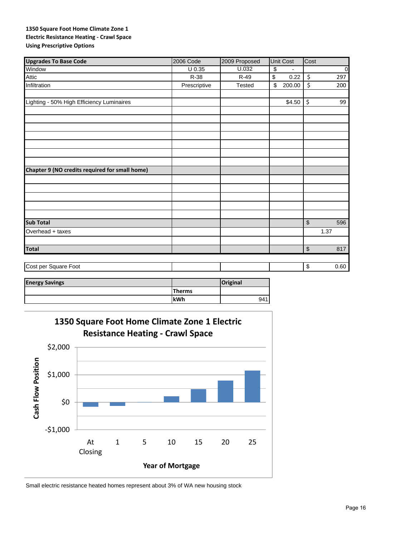### **1350 Square Foot Home Climate Zone 1 Electric Resistance Heating ‐ Crawl Space Using Prescriptive Options**

| <b>Upgrades To Base Code</b>                   | 2006 Code           | 2009 Proposed | Unit Cost                                   | Cost                                             |
|------------------------------------------------|---------------------|---------------|---------------------------------------------|--------------------------------------------------|
| Window                                         | $\overline{U}$ 0.35 | U.032         | $\overline{\$}$<br>$\overline{\phantom{a}}$ | $\overline{0}$                                   |
| Attic                                          | R-38                | $R-49$        | \$<br>0.22                                  | \$<br>297                                        |
| Infiltration                                   | Prescriptive        | Tested        | \$<br>200.00                                | \$<br>200                                        |
| Lighting - 50% High Efficiency Luminaires      |                     |               | \$4.50                                      | \$<br>99                                         |
|                                                |                     |               |                                             |                                                  |
|                                                |                     |               |                                             |                                                  |
|                                                |                     |               |                                             |                                                  |
|                                                |                     |               |                                             |                                                  |
|                                                |                     |               |                                             |                                                  |
| Chapter 9 (NO credits required for small home) |                     |               |                                             |                                                  |
|                                                |                     |               |                                             |                                                  |
|                                                |                     |               |                                             |                                                  |
|                                                |                     |               |                                             |                                                  |
|                                                |                     |               |                                             |                                                  |
| <b>Sub Total</b>                               |                     |               |                                             | $\, \, \raisebox{12pt}{$\scriptstyle \$}$<br>596 |
| Overhead + taxes                               |                     |               |                                             | 1.37                                             |
| <b>Total</b>                                   |                     |               |                                             | $$\mathfrak{s}$$<br>817                          |
|                                                |                     |               |                                             |                                                  |
| Cost per Square Foot                           |                     |               |                                             | $\,$<br>0.60                                     |

| <b>Energy Savings</b> |               | <b>Original</b> |
|-----------------------|---------------|-----------------|
|                       | <b>Therms</b> |                 |
|                       | <b>lkWh</b>   | 941             |



Small electric resistance heated homes represent about 3% of WA new housing stock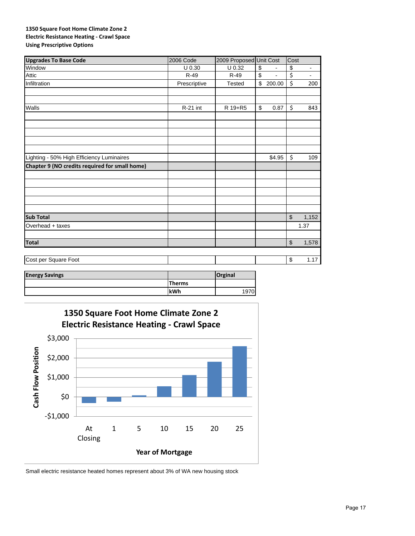### **1350 Square Foot Home Climate Zone 2 Electric Resistance Heating ‐ Crawl Space Using Prescriptive Options**

| 2006 Code    |               |                                                     | Cost                    |                                                |
|--------------|---------------|-----------------------------------------------------|-------------------------|------------------------------------------------|
| U 0.30       | U 0.32        | $\overline{\mathbf{e}}$<br>$\overline{\phantom{a}}$ | \$                      | $\overline{\phantom{a}}$                       |
| $R-49$       | R-49          | \$                                                  | \$                      | $\overline{\phantom{0}}$                       |
| Prescriptive | <b>Tested</b> |                                                     | \$                      | 200                                            |
|              |               |                                                     |                         |                                                |
| R-21 int     | R 19+R5       | \$<br>0.87                                          | \$                      | 843                                            |
|              |               |                                                     |                         |                                                |
|              |               |                                                     |                         |                                                |
|              |               |                                                     |                         |                                                |
|              |               |                                                     | \$                      | 109                                            |
|              |               |                                                     |                         |                                                |
|              |               |                                                     |                         |                                                |
|              |               |                                                     |                         |                                                |
|              |               |                                                     |                         |                                                |
|              |               |                                                     |                         | 1,152                                          |
|              |               |                                                     |                         | 1.37                                           |
|              |               |                                                     |                         |                                                |
|              |               |                                                     |                         | 1,578                                          |
|              |               |                                                     | \$                      | 1.17                                           |
|              |               |                                                     | 2009 Proposed Unit Cost | \$200.00<br>\$4.95<br>$\sqrt{2}$<br>$\sqrt{2}$ |

| <b>Energy Savings</b> |               | <b>Orginal</b> |
|-----------------------|---------------|----------------|
|                       | <b>Therms</b> |                |
|                       | kWh           | 1970           |



Small electric resistance heated homes represent about 3% of WA new housing stock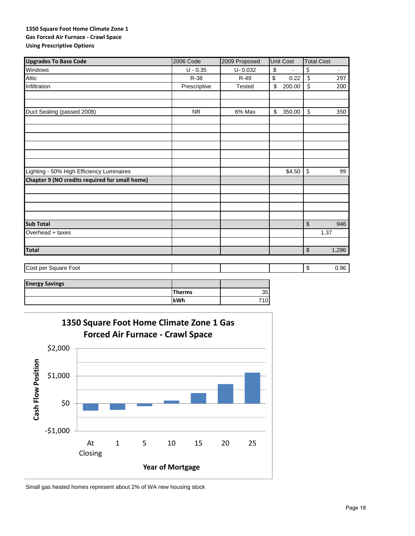### **1350 Square Foot Home Climate Zone 1 Gas Forced Air Furnace ‐ Crawl Space Using Prescriptive Options**

| <b>Upgrades To Base Code</b>                   | 2006 Code    | 2009 Proposed | Unit Cost            | <b>Total Cost</b>              |
|------------------------------------------------|--------------|---------------|----------------------|--------------------------------|
| Windows                                        | $U - 0.35$   | $U - 0.032$   | \$<br>$\blacksquare$ | \$<br>$\overline{\phantom{a}}$ |
| <b>Attic</b>                                   | R-38         | R-49          | \$<br>0.22           | \$<br>297                      |
| Infiltration                                   | Prescriptive | <b>Tested</b> | \$<br>200.00         | \$<br>200                      |
|                                                |              |               |                      |                                |
|                                                |              |               |                      |                                |
| Duct Sealing (passed 2008)                     | <b>NR</b>    | 6% Max        | \$<br>350.00         | \$<br>350                      |
|                                                |              |               |                      |                                |
|                                                |              |               |                      |                                |
|                                                |              |               |                      |                                |
|                                                |              |               |                      |                                |
|                                                |              |               |                      |                                |
|                                                |              |               |                      |                                |
| Lighting - 50% High Efficiency Luminaires      |              |               | \$4.50               | \$<br>99                       |
| Chapter 9 (NO credits required for small home) |              |               |                      |                                |
|                                                |              |               |                      |                                |
|                                                |              |               |                      |                                |
|                                                |              |               |                      |                                |
|                                                |              |               |                      |                                |
| <b>Sub Total</b>                               |              |               |                      | \$<br>946                      |
| Overhead + taxes                               |              |               |                      | 1.37                           |
|                                                |              |               |                      |                                |
| <b>Total</b>                                   |              |               |                      | \$<br>1,296                    |
|                                                |              |               |                      |                                |
| Cost per Square Foot                           |              |               |                      | \$<br>0.96                     |
|                                                |              |               |                      |                                |

| <b>Energy Savings</b> |               |     |
|-----------------------|---------------|-----|
|                       | <b>Therms</b> | 35  |
|                       | <b>lkWh</b>   | 710 |



Small gas heated homes represent about 2% of WA new housing stock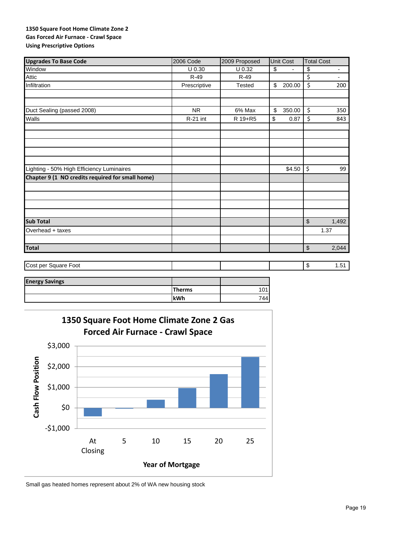### **1350 Square Foot Home Climate Zone 2 Gas Forced Air Furnace ‐ Crawl Space Using Prescriptive Options**

| <b>Upgrades To Base Code</b>                     | 2006 Code    | 2009 Proposed | Unit Cost                      | <b>Total Cost</b>              |
|--------------------------------------------------|--------------|---------------|--------------------------------|--------------------------------|
| Window                                           | $U$ 0.30     | $U$ 0.32      | \$<br>$\overline{\phantom{a}}$ | \$<br>$\overline{\phantom{a}}$ |
| Attic                                            | R-49         | $R-49$        |                                | \$<br>÷.                       |
| Infiltration                                     | Prescriptive | <b>Tested</b> | \$<br>200.00                   | $\zeta$<br>200                 |
|                                                  |              |               |                                |                                |
|                                                  |              |               |                                |                                |
| Duct Sealing (passed 2008)                       | <b>NR</b>    | 6% Max        | \$<br>350.00                   | \$<br>350                      |
| Walls                                            | R-21 int     | R 19+R5       | 0.87<br>\$                     | \$<br>843                      |
|                                                  |              |               |                                |                                |
|                                                  |              |               |                                |                                |
|                                                  |              |               |                                |                                |
| Lighting - 50% High Efficiency Luminaires        |              |               | \$4.50                         | \$<br>99                       |
| Chapter 9 (1 NO credits required for small home) |              |               |                                |                                |
|                                                  |              |               |                                |                                |
|                                                  |              |               |                                |                                |
|                                                  |              |               |                                |                                |
| <b>Sub Total</b>                                 |              |               |                                | \$<br>1,492                    |
| Overhead + taxes                                 |              |               |                                | 1.37                           |
|                                                  |              |               |                                |                                |
| <b>Total</b>                                     |              |               |                                | \$<br>2,044                    |
| Cost per Square Foot                             |              |               |                                | \$<br>1.51                     |
|                                                  |              |               |                                |                                |

| <b>Energy Savings</b> |               |     |
|-----------------------|---------------|-----|
|                       | <b>Therms</b> | '01 |
|                       | kWh           | 744 |



Small gas heated homes represent about 2% of WA new housing stock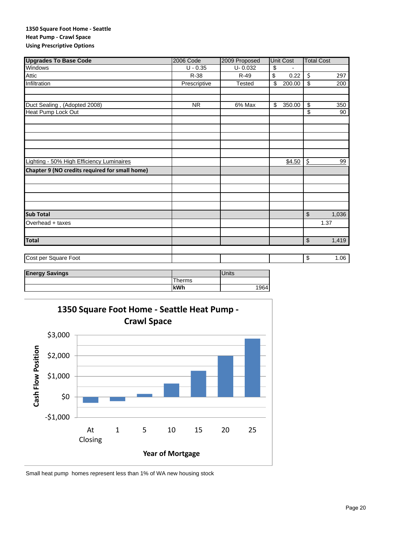### **1350 Square Foot Home ‐ Seattle Heat Pump ‐ Crawl Space Using Prescriptive Options**

| <b>Upgrades To Base Code</b>                   | <b>2006 Code</b> | 2009 Proposed      | Unit Cost    | <b>Total Cost</b>                |
|------------------------------------------------|------------------|--------------------|--------------|----------------------------------|
| <b>Windows</b>                                 | $U - 0.35$       | $U - 0.032$        | \$           |                                  |
| Attic                                          | R-38             | $R-49$             | \$<br>0.22   | \$<br>297                        |
| Infiltration                                   | Prescriptive     | <b>Tested</b>      | 200.00<br>\$ | \$<br>200                        |
|                                                |                  |                    |              |                                  |
|                                                |                  |                    |              |                                  |
| Duct Sealing, (Adopted 2008)                   | <b>NR</b>        | 6% Max             | \$<br>350.00 | \$<br>350                        |
| Heat Pump Lock Out                             |                  |                    |              | \$<br>90                         |
|                                                |                  |                    |              |                                  |
|                                                |                  |                    |              |                                  |
|                                                |                  |                    |              |                                  |
|                                                |                  |                    |              |                                  |
|                                                |                  |                    |              |                                  |
| Lighting - 50% High Efficiency Luminaires      |                  |                    | \$4.50       | \$<br>99                         |
| Chapter 9 (NO credits required for small home) |                  |                    |              |                                  |
|                                                |                  |                    |              |                                  |
|                                                |                  |                    |              |                                  |
|                                                |                  |                    |              |                                  |
|                                                |                  |                    |              |                                  |
| <b>Sub Total</b>                               |                  |                    |              | $\sqrt[6]{\frac{1}{2}}$<br>1,036 |
| Overhead + taxes                               |                  |                    |              | 1.37                             |
|                                                |                  |                    |              |                                  |
|                                                |                  |                    |              |                                  |
| <b>Total</b>                                   |                  |                    |              | $\,$<br>1,419                    |
|                                                |                  |                    |              |                                  |
| Cost per Square Foot                           |                  |                    |              | \$<br>1.06                       |
|                                                |                  |                    |              |                                  |
| Energy Covings                                 |                  | I <sub>histo</sub> |              |                                  |

| <b>Energy Savings</b> |        | <b>Units</b> |
|-----------------------|--------|--------------|
|                       | 'herms |              |
|                       | kWh    | 964          |
|                       |        |              |



Small heat pump homes represent less than 1% of WA new housing stock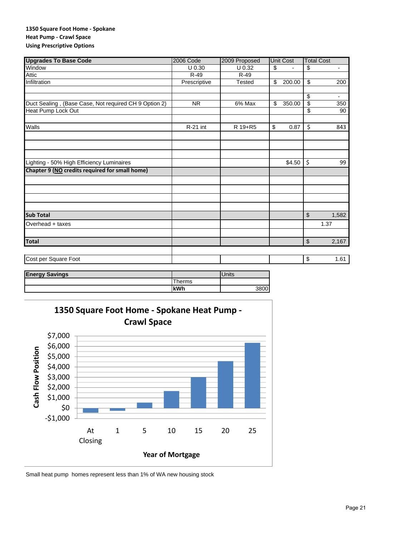### **1350 Square Foot Home ‐ Spokane Heat Pump ‐ Crawl Space Using Prescriptive Options**

| <b>Upgrades To Base Code</b>                          | <b>2006 Code</b> | 2009 Proposed        | <b>Unit Cost</b> | <b>Total Cost</b> |                          |
|-------------------------------------------------------|------------------|----------------------|------------------|-------------------|--------------------------|
| Window                                                | $U$ 0.30         | U 0.32               | \$               | \$                | $\overline{\phantom{a}}$ |
| Attic                                                 | $R-49$           | $R-49$               |                  |                   |                          |
| Infiltration                                          | Prescriptive     | <b>Tested</b>        | \$<br>200.00     | $\overline{\$}$   | 200                      |
|                                                       |                  |                      |                  | \$                | $\overline{\phantom{a}}$ |
| Duct Sealing, (Base Case, Not required CH 9 Option 2) | <b>NR</b>        | $\overline{6\%}$ Max | \$<br>350.00     | \$                | 350                      |
| Heat Pump Lock Out                                    |                  |                      |                  | \$                | 90                       |
| Walls                                                 | R-21 int         | R 19+R5              | \$<br>0.87       | \$                | 843                      |
|                                                       |                  |                      |                  |                   |                          |
|                                                       |                  |                      |                  |                   |                          |
| Lighting - 50% High Efficiency Luminaires             |                  |                      | \$4.50           | \$                | 99                       |
| Chapter 9 (NO credits required for small home)        |                  |                      |                  |                   |                          |
|                                                       |                  |                      |                  |                   |                          |
|                                                       |                  |                      |                  |                   |                          |
|                                                       |                  |                      |                  |                   |                          |
|                                                       |                  |                      |                  |                   |                          |
| <b>Sub Total</b>                                      |                  |                      |                  | \$                | 1,582                    |
| Overhead + taxes                                      |                  |                      |                  | 1.37              |                          |
|                                                       |                  |                      |                  |                   |                          |
| <b>Total</b>                                          |                  |                      |                  | \$                | 2,167                    |
| Cost per Square Foot                                  |                  |                      |                  | \$                | 1.61                     |
|                                                       |                  |                      |                  |                   |                          |
| F.a<br>$\sim$ 0.4 $\sim$                              |                  | <b>The Sec</b>       |                  |                   |                          |

| <b>Energy Savings</b> |       | Units |
|-----------------------|-------|-------|
|                       | herms |       |
|                       | kWh   | 3800  |



Small heat pump homes represent less than 1% of WA new housing stock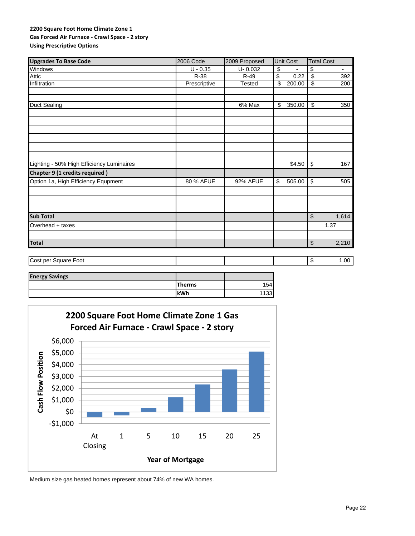### **2200 Square Foot Home Climate Zone 1 Gas Forced Air Furnace ‐ Crawl Space ‐ 2 story Using Prescriptive Options**

| <b>Upgrades To Base Code</b>              | <b>2006 Code</b> | 2009 Proposed | <b>Unit Cost</b> | <b>Total Cost</b>       |                          |
|-------------------------------------------|------------------|---------------|------------------|-------------------------|--------------------------|
| Windows                                   | $U - 0.35$       | $U - 0.032$   | \$               | \$                      | $\overline{\phantom{a}}$ |
| Attic                                     | R-38             | $R-49$        | \$<br>0.22       | \$                      | 392                      |
| Infiltration                              | Prescriptive     | <b>Tested</b> | \$<br>200.00     | \$                      | 200                      |
|                                           |                  |               |                  |                         |                          |
| <b>Duct Sealing</b>                       |                  | 6% Max        | \$<br>350.00     | \$                      | 350                      |
|                                           |                  |               |                  |                         |                          |
|                                           |                  |               |                  |                         |                          |
|                                           |                  |               |                  |                         |                          |
|                                           |                  |               |                  |                         |                          |
| Lighting - 50% High Efficiency Luminaires |                  |               | \$4.50           | \$                      | 167                      |
| Chapter 9 (1 credits required)            |                  |               |                  |                         |                          |
| Option 1a, High Efficiency Equpment       | 80 % AFUE        | 92% AFUE      | 505.00<br>\$     | \$                      | 505                      |
|                                           |                  |               |                  |                         |                          |
|                                           |                  |               |                  |                         |                          |
| <b>Sub Total</b>                          |                  |               |                  | $\sqrt[6]{\frac{1}{2}}$ | 1,614                    |
| Overhead + taxes                          |                  |               |                  | 1.37                    |                          |
| <b>Total</b>                              |                  |               |                  | $\sqrt[6]{\frac{1}{2}}$ | 2,210                    |
|                                           |                  |               |                  |                         |                          |
| Cost per Square Foot                      |                  |               |                  | \$                      | 1.00                     |
| <b>Enorgy Covings</b>                     |                  |               |                  |                         |                          |

| <b>Energy Savings</b> |               |                 |
|-----------------------|---------------|-----------------|
|                       | <b>Therms</b> | 154             |
|                       | <b>kWh</b>    | 33 <sup>5</sup> |



Medium size gas heated homes represent about 74% of new WA homes.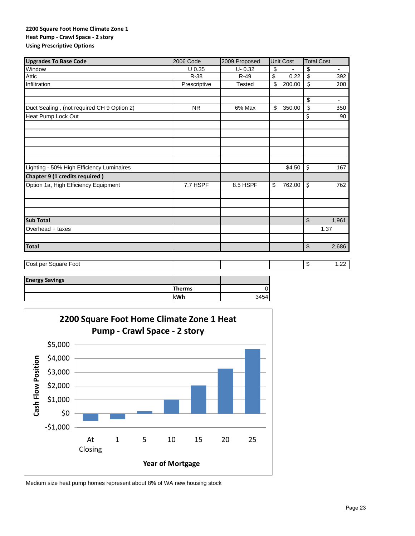### **2200 Square Foot Home Climate Zone 1 Heat Pump ‐ Crawl Space ‐ 2 story Using Prescriptive Options**

| <b>Upgrades To Base Code</b>               | 2006 Code    | 2009 Proposed | <b>Unit Cost</b> | <b>Total Cost</b>       |                          |
|--------------------------------------------|--------------|---------------|------------------|-------------------------|--------------------------|
| Window                                     | $U$ 0.35     | $U - 0.32$    | \$               | \$                      | $\overline{\phantom{a}}$ |
| Attic                                      | R-38         | R-49          | \$<br>0.22       | \$                      | 392                      |
| Infiltration                               | Prescriptive | <b>Tested</b> | \$<br>200.00     | \$                      | 200                      |
|                                            |              |               |                  |                         |                          |
|                                            |              |               |                  | $\overline{\mathbf{S}}$ | $\overline{\phantom{a}}$ |
| Duct Sealing, (not required CH 9 Option 2) | <b>NR</b>    | 6% Max        | \$<br>350.00     | \$                      | 350                      |
| Heat Pump Lock Out                         |              |               |                  | \$                      | 90                       |
|                                            |              |               |                  |                         |                          |
|                                            |              |               |                  |                         |                          |
|                                            |              |               |                  |                         |                          |
| Lighting - 50% High Efficiency Luminaires  |              |               | \$4.50           | \$                      | 167                      |
| Chapter 9 (1 credits required)             |              |               |                  |                         |                          |
| Option 1a, High Efficiency Equipment       | 7.7 HSPF     | 8.5 HSPF      | 762.00<br>\$     | \$                      | 762                      |
|                                            |              |               |                  |                         |                          |
|                                            |              |               |                  |                         |                          |
| <b>Sub Total</b>                           |              |               |                  | \$                      | 1,961                    |
| Overhead + taxes                           |              |               |                  | 1.37                    |                          |
|                                            |              |               |                  |                         |                          |
| <b>Total</b>                               |              |               |                  | \$                      | 2,686                    |
| Cost per Square Foot                       |              |               |                  | \$                      | 1.22                     |
| <b>Energy Savings</b>                      |              |               |                  |                         |                          |

| <b>Energy Savings</b> |               |      |
|-----------------------|---------------|------|
|                       | <b>Therms</b> |      |
|                       | <b>kWh</b>    | 3454 |



Medium size heat pump homes represent about 8% of WA new housing stock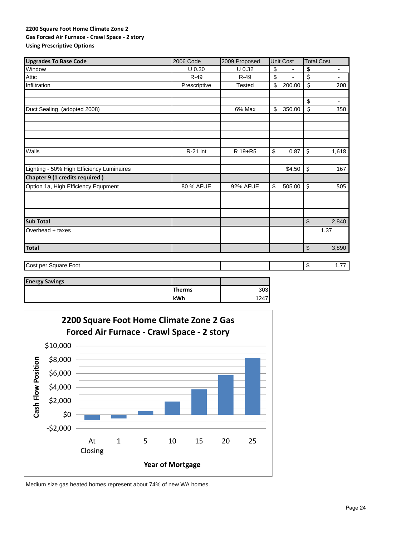### **2200 Square Foot Home Climate Zone 2 Gas Forced Air Furnace ‐ Crawl Space ‐ 2 story Using Prescriptive Options**

| <b>Upgrades To Base Code</b>              | 2006 Code    | 2009 Proposed   | <b>Unit Cost</b>               | <b>Total Cost</b>              |
|-------------------------------------------|--------------|-----------------|--------------------------------|--------------------------------|
| Window                                    | $U$ 0.30     | U 0.32          | \$<br>-                        | \$<br>$\overline{\phantom{a}}$ |
| <b>Attic</b>                              | R-49         | $R-49$          | \$<br>$\overline{\phantom{0}}$ | \$<br>$\blacksquare$           |
| Infiltration                              | Prescriptive | <b>Tested</b>   | \$<br>200.00                   | \$<br>200                      |
|                                           |              |                 |                                |                                |
|                                           |              |                 |                                | \$<br>$\overline{\phantom{a}}$ |
| Duct Sealing (adopted 2008)               |              | 6% Max          | \$<br>350.00                   | \$<br>350                      |
|                                           |              |                 |                                |                                |
|                                           |              |                 |                                |                                |
|                                           |              |                 |                                |                                |
| Walls                                     | R-21 int     | R 19+R5         | \$<br>0.87                     | \$<br>1,618                    |
|                                           |              |                 |                                |                                |
| Lighting - 50% High Efficiency Luminaires |              |                 | \$4.50                         | \$<br>167                      |
| <b>Chapter 9 (1 credits required)</b>     |              |                 |                                |                                |
| Option 1a, High Efficiency Equpment       | 80 % AFUE    | <b>92% AFUE</b> | \$<br>505.00                   | \$<br>505                      |
|                                           |              |                 |                                |                                |
|                                           |              |                 |                                |                                |
| <b>Sub Total</b>                          |              |                 |                                | $\$\$<br>2,840                 |
|                                           |              |                 |                                | 1.37                           |
| Overhead + taxes                          |              |                 |                                |                                |
| <b>Total</b>                              |              |                 |                                | $\,$<br>3,890                  |
|                                           |              |                 |                                |                                |
| Cost per Square Foot                      |              |                 |                                | \$<br>1.77                     |

| <b>Energy Savings</b> |               |      |
|-----------------------|---------------|------|
|                       | <b>Therms</b> | 303  |
|                       | <b>kWh</b>    | 1247 |



Medium size gas heated homes represent about 74% of new WA homes.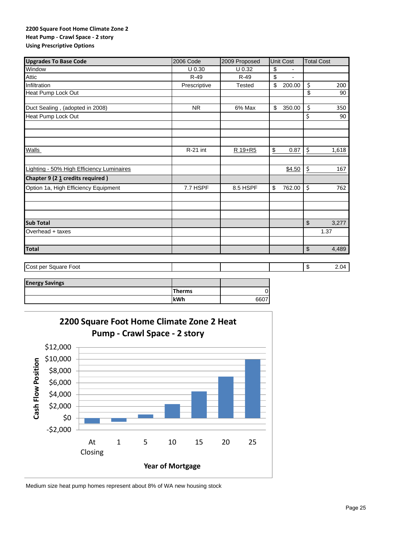### **2200 Square Foot Home Climate Zone 2 Heat Pump ‐ Crawl Space ‐ 2 story Using Prescriptive Options**

| <b>Upgrades To Base Code</b>              | 2006 Code    | 2009 Proposed | Unit Cost                      | <b>Total Cost</b> |
|-------------------------------------------|--------------|---------------|--------------------------------|-------------------|
| Window                                    | $U$ 0.30     | $U$ 0.32      | \$<br>$\overline{\phantom{0}}$ |                   |
| Attic                                     | $R-49$       | $R-49$        | \$                             |                   |
| Infiltration                              | Prescriptive | <b>Tested</b> | \$<br>200.00                   | \$<br>200         |
| Heat Pump Lock Out                        |              |               |                                | \$<br>90          |
| Duct Sealing, (adopted in 2008)           | <b>NR</b>    | 6% Max        | \$<br>350.00                   | \$<br>350         |
| Heat Pump Lock Out                        |              |               |                                | \$<br>90          |
|                                           |              |               |                                |                   |
|                                           |              |               |                                |                   |
| <b>Walls</b>                              | $R-21$ int   | R 19+R5       | \$<br>0.87                     | \$<br>1,618       |
|                                           |              |               |                                |                   |
| Lighting - 50% High Efficiency Luminaires |              |               | \$4.50                         | \$<br>167         |
| Chapter 9 (21 credits required)           |              |               |                                |                   |
| Option 1a, High Efficiency Equipment      | 7.7 HSPF     | 8.5 HSPF      | \$<br>762.00                   | \$<br>762         |
|                                           |              |               |                                |                   |
|                                           |              |               |                                |                   |
| <b>Sub Total</b>                          |              |               |                                | \$<br>3,277       |
| Overhead + taxes                          |              |               |                                | 1.37              |
|                                           |              |               |                                |                   |
| <b>Total</b>                              |              |               |                                | \$<br>4,489       |
| Cost per Square Foot                      |              |               |                                | \$<br>2.04        |
|                                           |              |               |                                |                   |

| <b>Energy Savings</b> |               |      |
|-----------------------|---------------|------|
|                       | <b>Therms</b> | D    |
|                       | kWh           | 6607 |



Medium size heat pump homes represent about 8% of WA new housing stock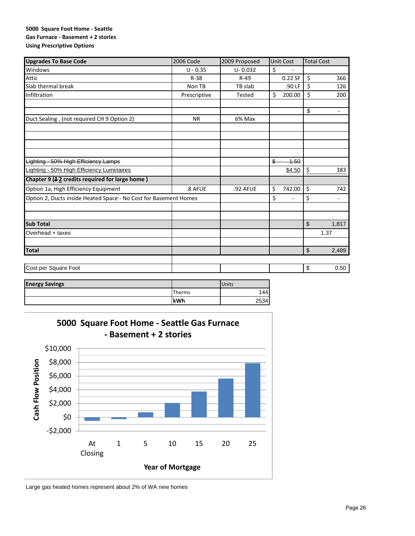### **5000 Square Foot Home ‐ Seattle Gas Furnace ‐ Basement + 2 stories Using Prescriptive Options**

| <b>Upgrades To Base Code</b>                                     | 2006 Code    | 2009 Proposed | <b>Unit Cost</b>      | <b>Total Cost</b>                    |
|------------------------------------------------------------------|--------------|---------------|-----------------------|--------------------------------------|
| Windows                                                          | $U - 0.35$   | $U - 0.032$   | \$                    |                                      |
| Attic                                                            | $R-38$       | $R-49$        | 0.22 SF               | \$<br>366                            |
| Slab thermal break                                               | Non TB       | TB slab       | .90 LF                | \$<br>126                            |
| Infiltration                                                     | Prescriptive | <b>Tested</b> | \$<br>200.00          | \$<br>200                            |
|                                                                  |              |               |                       | \$<br>$\overline{\phantom{a}}$       |
| Duct Sealing, (not required CH 9 Option 2)                       | <b>NR</b>    | 6% Max        |                       |                                      |
|                                                                  |              |               |                       |                                      |
|                                                                  |              |               |                       |                                      |
| Lighting - 50% High Efficiency Lamps                             |              |               | $\frac{2}{3}$<br>4.50 |                                      |
| <b>Lighting - 50% High Efficiency Luminaires</b>                 |              |               | \$4.50                | \$<br>383                            |
| Chapter 9 (3 2 credits required for large home)                  |              |               |                       |                                      |
| Option 1a, High Efficiency Equipment                             | .8 AFUE      | .92 AFUE      | \$<br>742.00          | \$<br>742                            |
| Option 2, Ducts inside Heated Space - No Cost for Basement Homes |              |               | \$                    | \$<br>٠                              |
|                                                                  |              |               |                       |                                      |
| <b>Sub Total</b>                                                 |              |               |                       | \$<br>1,817                          |
| Overhead + taxes                                                 |              |               |                       | 1.37                                 |
| <b>Total</b>                                                     |              |               |                       | $\boldsymbol{\hat{\theta}}$<br>2,489 |
| Cost per Square Foot                                             |              |               |                       | \$<br>0.50                           |
| Ie.<br>$C = 0.5$                                                 |              | $1.1 - 2.1 -$ |                       |                                      |

| <b>Energy Savings</b> |        | <b>Units</b> |
|-----------------------|--------|--------------|
|                       | Therms | 44           |
|                       | kWh    | 2534         |



Large gas heated homes represent about 2% of WA new homes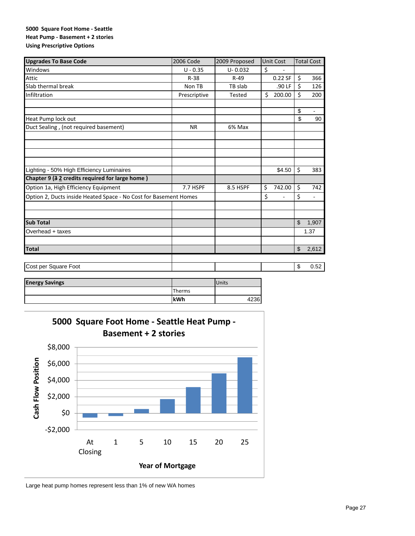### **5000 Square Foot Home ‐ Seattle Heat Pump ‐ Basement + 2 stories Using Prescriptive Options**

| <b>Upgrades To Base Code</b>                                     | 2006 Code    | 2009 Proposed |    | <b>Unit Cost</b>         | <b>Total Cost</b>              |
|------------------------------------------------------------------|--------------|---------------|----|--------------------------|--------------------------------|
| Windows                                                          | $U - 0.35$   | $U - 0.032$   | \$ |                          |                                |
| Attic                                                            | $R-38$       | $R-49$        |    | $0.22$ SF                | \$<br>366                      |
| Slab thermal break                                               | Non TB       | TB slab       |    | .90 LF                   | \$<br>126                      |
| Infiltration                                                     | Prescriptive | <b>Tested</b> | Ś. | 200.00                   | \$<br>200                      |
|                                                                  |              |               |    |                          | \$<br>$\overline{\phantom{a}}$ |
| Heat Pump lock out                                               |              |               |    |                          | \$<br>90                       |
| Duct Sealing, (not required basement)                            | <b>NR</b>    | 6% Max        |    |                          |                                |
|                                                                  |              |               |    |                          |                                |
|                                                                  |              |               |    |                          |                                |
|                                                                  |              |               |    |                          |                                |
| Lighting - 50% High Efficiency Luminaires                        |              |               |    | \$4.50                   | \$<br>383                      |
| Chapter 9 (3 2 credits required for large home)                  |              |               |    |                          |                                |
| Option 1a, High Efficiency Equipment                             | 7.7 HSPF     | 8.5 HSPF      | \$ | 742.00                   | \$<br>742                      |
| Option 2, Ducts inside Heated Space - No Cost for Basement Homes |              |               | \$ | $\overline{\phantom{a}}$ | \$<br>÷,                       |
|                                                                  |              |               |    |                          |                                |
| <b>Sub Total</b>                                                 |              |               |    |                          | \$<br>1,907                    |
| Overhead + taxes                                                 |              |               |    |                          | 1.37                           |
|                                                                  |              |               |    |                          |                                |
| <b>Total</b>                                                     |              |               |    |                          | \$<br>2,612                    |
|                                                                  |              |               |    |                          |                                |
| Cost per Square Foot                                             |              |               |    |                          | \$<br>0.52                     |

| <b>Energy Savings</b> |        | Units |
|-----------------------|--------|-------|
|                       | Therms |       |
|                       | kWh    | .236  |



Large heat pump homes represent less than 1% of new WA homes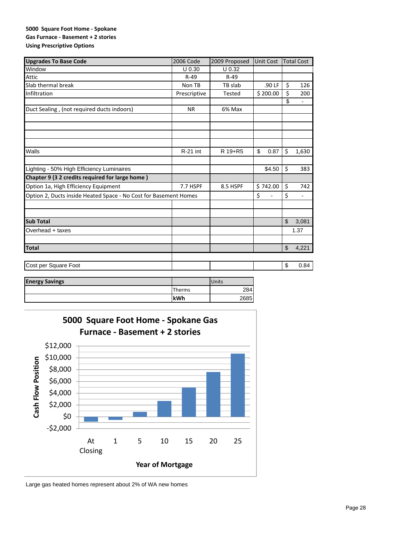### **5000 Square Foot Home ‐ Spokane Gas Furnace ‐ Basement + 2 stories Using Prescriptive Options**

| <b>Upgrades To Base Code</b>                                     | 2006 Code    | 2009 Proposed | <b>Unit Cost</b> |                         | <b>Total Cost</b> |
|------------------------------------------------------------------|--------------|---------------|------------------|-------------------------|-------------------|
| Window                                                           | $U$ 0.30     | U 0.32        |                  |                         |                   |
| Attic                                                            | $R-49$       | $R-49$        |                  |                         |                   |
| Slab thermal break                                               | Non TB       | TB slab       | .90 LF           | \$                      | 126               |
| Infiltration                                                     | Prescriptive | Tested        | \$200.00         | $\overline{\xi}$        | 200               |
|                                                                  |              |               |                  | \$                      | -                 |
| Duct Sealing, (not required ducts indoors)                       | <b>NR</b>    | 6% Max        |                  |                         |                   |
|                                                                  |              |               |                  |                         |                   |
|                                                                  |              |               |                  |                         |                   |
|                                                                  |              |               |                  |                         |                   |
|                                                                  |              |               |                  |                         |                   |
| Walls                                                            | R-21 int     | R 19+R5       | \$<br>0.87       | \$                      | 1,630             |
|                                                                  |              |               |                  |                         |                   |
| Lighting - 50% High Efficiency Luminaires                        |              |               | \$4.50           | $\overline{\mathsf{S}}$ | 383               |
| Chapter 9 (3 2 credits required for large home)                  |              |               |                  |                         |                   |
| Option 1a, High Efficiency Equipment                             | 7.7 HSPF     | 8.5 HSPF      | \$742.00         | $\overline{\xi}$        | 742               |
| Option 2, Ducts inside Heated Space - No Cost for Basement Homes |              |               | \$<br>L          | \$                      | -                 |
|                                                                  |              |               |                  |                         |                   |
|                                                                  |              |               |                  |                         |                   |
| <b>Sub Total</b>                                                 |              |               |                  | $\mathsf{\$}$           | 3,081             |
| Overhead + taxes                                                 |              |               |                  |                         | 1.37              |
|                                                                  |              |               |                  |                         |                   |
| <b>Total</b>                                                     |              |               |                  | $\frac{1}{2}$           | 4,221             |
|                                                                  |              |               |                  |                         |                   |
| Cost per Square Foot                                             |              |               |                  | \$                      | 0.84              |
|                                                                  |              |               |                  |                         |                   |

| <b>Energy Savings</b> |               | <b>Units</b> |
|-----------------------|---------------|--------------|
|                       | <b>Therms</b> | 284          |
|                       | kWh           | 2685         |



Large gas heated homes represent about 2% of WA new homes